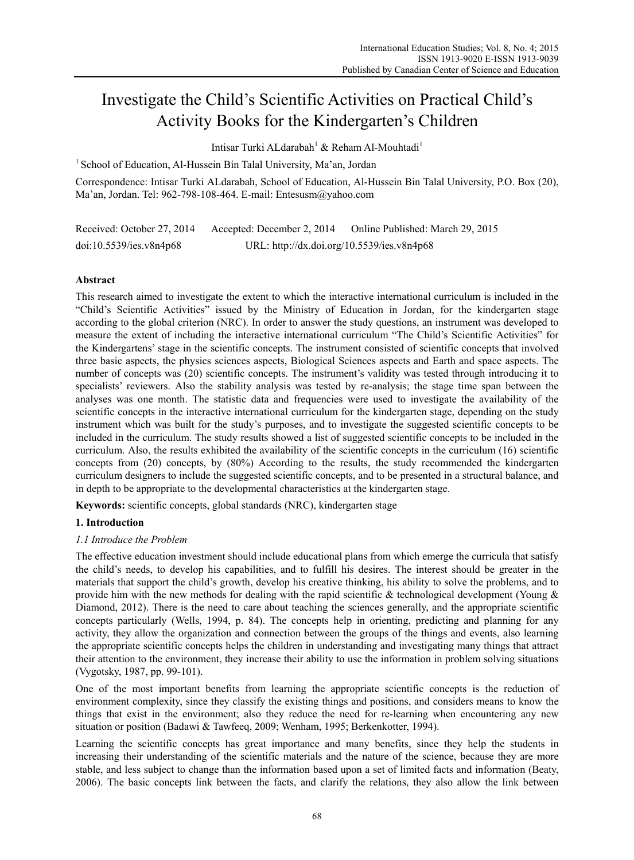# Investigate the Child's Scientific Activities on Practical Child's Activity Books for the Kindergarten's Children

Intisar Turki ALdarabah<sup>1</sup> & Reham Al-Mouhtadi<sup>1</sup>

<sup>1</sup> School of Education, Al-Hussein Bin Talal University, Ma'an, Jordan

Correspondence: Intisar Turki ALdarabah, School of Education, Al-Hussein Bin Talal University, P.O. Box (20), Ma'an, Jordan. Tel: 962-798-108-464. E-mail: Entesusm@yahoo.com

| Received: October 27, 2014 | Accepted: December 2, 2014                 | Online Published: March 29, 2015 |
|----------------------------|--------------------------------------------|----------------------------------|
| doi:10.5539/ies.v8n4p68    | URL: http://dx.doi.org/10.5539/ies.v8n4p68 |                                  |

# **Abstract**

This research aimed to investigate the extent to which the interactive international curriculum is included in the "Child's Scientific Activities" issued by the Ministry of Education in Jordan, for the kindergarten stage according to the global criterion (NRC). In order to answer the study questions, an instrument was developed to measure the extent of including the interactive international curriculum "The Child's Scientific Activities" for the Kindergartens' stage in the scientific concepts. The instrument consisted of scientific concepts that involved three basic aspects, the physics sciences aspects, Biological Sciences aspects and Earth and space aspects. The number of concepts was (20) scientific concepts. The instrument's validity was tested through introducing it to specialists' reviewers. Also the stability analysis was tested by re-analysis; the stage time span between the analyses was one month. The statistic data and frequencies were used to investigate the availability of the scientific concepts in the interactive international curriculum for the kindergarten stage, depending on the study instrument which was built for the study's purposes, and to investigate the suggested scientific concepts to be included in the curriculum. The study results showed a list of suggested scientific concepts to be included in the curriculum. Also, the results exhibited the availability of the scientific concepts in the curriculum (16) scientific concepts from (20) concepts, by (80%) According to the results, the study recommended the kindergarten curriculum designers to include the suggested scientific concepts, and to be presented in a structural balance, and in depth to be appropriate to the developmental characteristics at the kindergarten stage.

**Keywords:** scientific concepts, global standards (NRC), kindergarten stage

# **1. Introduction**

# *1.1 Introduce the Problem*

The effective education investment should include educational plans from which emerge the curricula that satisfy the child's needs, to develop his capabilities, and to fulfill his desires. The interest should be greater in the materials that support the child's growth, develop his creative thinking, his ability to solve the problems, and to provide him with the new methods for dealing with the rapid scientific & technological development (Young  $\&$ Diamond, 2012). There is the need to care about teaching the sciences generally, and the appropriate scientific concepts particularly (Wells, 1994, p. 84). The concepts help in orienting, predicting and planning for any activity, they allow the organization and connection between the groups of the things and events, also learning the appropriate scientific concepts helps the children in understanding and investigating many things that attract their attention to the environment, they increase their ability to use the information in problem solving situations (Vygotsky, 1987, pp. 99-101).

One of the most important benefits from learning the appropriate scientific concepts is the reduction of environment complexity, since they classify the existing things and positions, and considers means to know the things that exist in the environment; also they reduce the need for re-learning when encountering any new situation or position (Badawi & Tawfeeq, 2009; Wenham, 1995; Berkenkotter, 1994).

Learning the scientific concepts has great importance and many benefits, since they help the students in increasing their understanding of the scientific materials and the nature of the science, because they are more stable, and less subject to change than the information based upon a set of limited facts and information (Beaty, 2006). The basic concepts link between the facts, and clarify the relations, they also allow the link between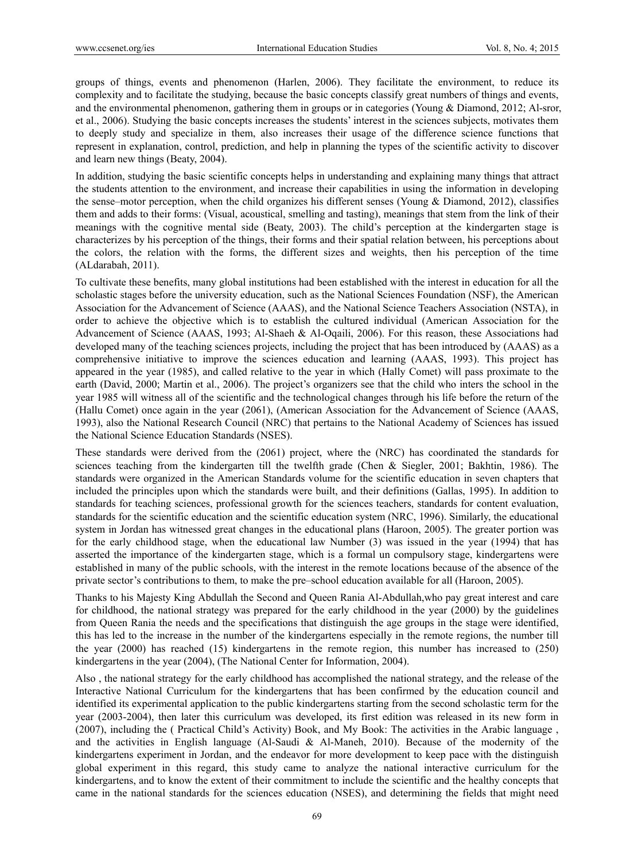groups of things, events and phenomenon (Harlen, 2006). They facilitate the environment, to reduce its complexity and to facilitate the studying, because the basic concepts classify great numbers of things and events, and the environmental phenomenon, gathering them in groups or in categories (Young & Diamond, 2012; Al-sror, et al., 2006). Studying the basic concepts increases the students' interest in the sciences subjects, motivates them to deeply study and specialize in them, also increases their usage of the difference science functions that represent in explanation, control, prediction, and help in planning the types of the scientific activity to discover and learn new things (Beaty, 2004).

In addition, studying the basic scientific concepts helps in understanding and explaining many things that attract the students attention to the environment, and increase their capabilities in using the information in developing the sense–motor perception, when the child organizes his different senses (Young  $\&$  Diamond, 2012), classifies them and adds to their forms: (Visual, acoustical, smelling and tasting), meanings that stem from the link of their meanings with the cognitive mental side (Beaty, 2003). The child's perception at the kindergarten stage is characterizes by his perception of the things, their forms and their spatial relation between, his perceptions about the colors, the relation with the forms, the different sizes and weights, then his perception of the time (ALdarabah, 2011).

To cultivate these benefits, many global institutions had been established with the interest in education for all the scholastic stages before the university education, such as the National Sciences Foundation (NSF), the American Association for the Advancement of Science (AAAS), and the National Science Teachers Association (NSTA), in order to achieve the objective which is to establish the cultured individual (American Association for the Advancement of Science (AAAS, 1993; Al-Shaeh & Al-Oqaili, 2006). For this reason, these Associations had developed many of the teaching sciences projects, including the project that has been introduced by (AAAS) as a comprehensive initiative to improve the sciences education and learning (AAAS, 1993). This project has appeared in the year (1985), and called relative to the year in which (Hally Comet) will pass proximate to the earth (David, 2000; Martin et al., 2006). The project's organizers see that the child who inters the school in the year 1985 will witness all of the scientific and the technological changes through his life before the return of the (Hallu Comet) once again in the year (2061), (American Association for the Advancement of Science (AAAS, 1993), also the National Research Council (NRC) that pertains to the National Academy of Sciences has issued the National Science Education Standards (NSES).

These standards were derived from the (2061) project, where the (NRC) has coordinated the standards for sciences teaching from the kindergarten till the twelfth grade (Chen & Siegler, 2001; Bakhtin, 1986). The standards were organized in the American Standards volume for the scientific education in seven chapters that included the principles upon which the standards were built, and their definitions (Gallas, 1995). In addition to standards for teaching sciences, professional growth for the sciences teachers, standards for content evaluation, standards for the scientific education and the scientific education system (NRC, 1996). Similarly, the educational system in Jordan has witnessed great changes in the educational plans (Haroon, 2005). The greater portion was for the early childhood stage, when the educational law Number (3) was issued in the year (1994) that has asserted the importance of the kindergarten stage, which is a formal un compulsory stage, kindergartens were established in many of the public schools, with the interest in the remote locations because of the absence of the private sector's contributions to them, to make the pre–school education available for all (Haroon, 2005).

Thanks to his Majesty King Abdullah the Second and Queen Rania Al-Abdullah,who pay great interest and care for childhood, the national strategy was prepared for the early childhood in the year (2000) by the guidelines from Queen Rania the needs and the specifications that distinguish the age groups in the stage were identified, this has led to the increase in the number of the kindergartens especially in the remote regions, the number till the year (2000) has reached (15) kindergartens in the remote region, this number has increased to (250) kindergartens in the year (2004), (The National Center for Information, 2004).

Also , the national strategy for the early childhood has accomplished the national strategy, and the release of the Interactive National Curriculum for the kindergartens that has been confirmed by the education council and identified its experimental application to the public kindergartens starting from the second scholastic term for the year (2003-2004), then later this curriculum was developed, its first edition was released in its new form in (2007), including the ( Practical Child's Activity) Book, and My Book: The activities in the Arabic language , and the activities in English language (Al-Saudi & Al-Maneh, 2010). Because of the modernity of the kindergartens experiment in Jordan, and the endeavor for more development to keep pace with the distinguish global experiment in this regard, this study came to analyze the national interactive curriculum for the kindergartens, and to know the extent of their commitment to include the scientific and the healthy concepts that came in the national standards for the sciences education (NSES), and determining the fields that might need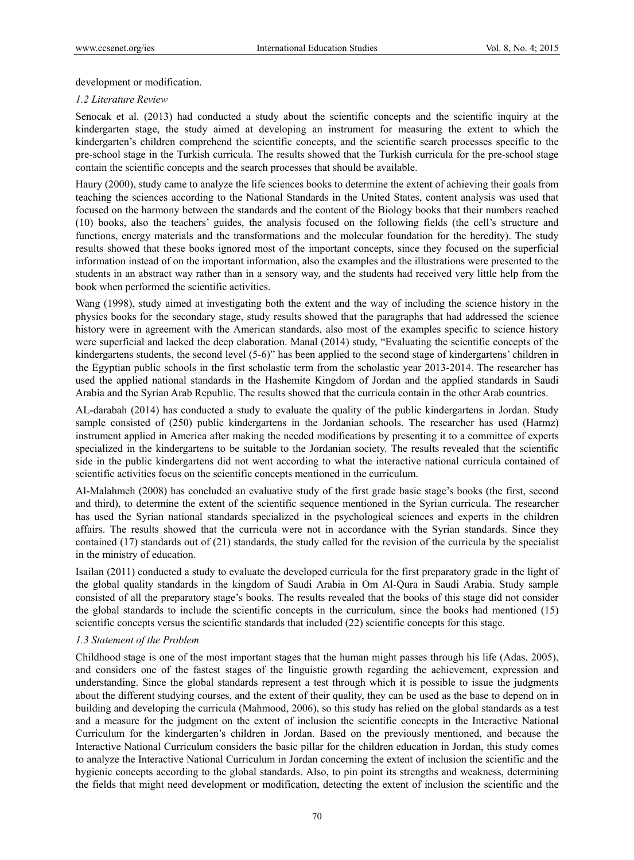development or modification.

## *1.2 Literature Review*

Senocak et al. (2013) had conducted a study about the scientific concepts and the scientific inquiry at the kindergarten stage, the study aimed at developing an instrument for measuring the extent to which the kindergarten's children comprehend the scientific concepts, and the scientific search processes specific to the pre-school stage in the Turkish curricula. The results showed that the Turkish curricula for the pre-school stage contain the scientific concepts and the search processes that should be available.

Haury (2000), study came to analyze the life sciences books to determine the extent of achieving their goals from teaching the sciences according to the National Standards in the United States, content analysis was used that focused on the harmony between the standards and the content of the Biology books that their numbers reached (10) books, also the teachers' guides, the analysis focused on the following fields (the cell's structure and functions, energy materials and the transformations and the molecular foundation for the heredity). The study results showed that these books ignored most of the important concepts, since they focused on the superficial information instead of on the important information, also the examples and the illustrations were presented to the students in an abstract way rather than in a sensory way, and the students had received very little help from the book when performed the scientific activities.

Wang (1998), study aimed at investigating both the extent and the way of including the science history in the physics books for the secondary stage, study results showed that the paragraphs that had addressed the science history were in agreement with the American standards, also most of the examples specific to science history were superficial and lacked the deep elaboration. Manal (2014) study, "Evaluating the scientific concepts of the kindergartens students, the second level (5-6)" has been applied to the second stage of kindergartens' children in the Egyptian public schools in the first scholastic term from the scholastic year 2013-2014. The researcher has used the applied national standards in the Hashemite Kingdom of Jordan and the applied standards in Saudi Arabia and the Syrian Arab Republic. The results showed that the curricula contain in the other Arab countries.

AL-darabah (2014) has conducted a study to evaluate the quality of the public kindergartens in Jordan. Study sample consisted of (250) public kindergartens in the Jordanian schools. The researcher has used (Harmz) instrument applied in America after making the needed modifications by presenting it to a committee of experts specialized in the kindergartens to be suitable to the Jordanian society. The results revealed that the scientific side in the public kindergartens did not went according to what the interactive national curricula contained of scientific activities focus on the scientific concepts mentioned in the curriculum.

Al-Malahmeh (2008) has concluded an evaluative study of the first grade basic stage's books (the first, second and third), to determine the extent of the scientific sequence mentioned in the Syrian curricula. The researcher has used the Syrian national standards specialized in the psychological sciences and experts in the children affairs. The results showed that the curricula were not in accordance with the Syrian standards. Since they contained (17) standards out of (21) standards, the study called for the revision of the curricula by the specialist in the ministry of education.

Isailan (2011) conducted a study to evaluate the developed curricula for the first preparatory grade in the light of the global quality standards in the kingdom of Saudi Arabia in Om Al-Qura in Saudi Arabia. Study sample consisted of all the preparatory stage's books. The results revealed that the books of this stage did not consider the global standards to include the scientific concepts in the curriculum, since the books had mentioned (15) scientific concepts versus the scientific standards that included (22) scientific concepts for this stage.

#### *1.3 Statement of the Problem*

Childhood stage is one of the most important stages that the human might passes through his life (Adas, 2005), and considers one of the fastest stages of the linguistic growth regarding the achievement, expression and understanding. Since the global standards represent a test through which it is possible to issue the judgments about the different studying courses, and the extent of their quality, they can be used as the base to depend on in building and developing the curricula (Mahmood, 2006), so this study has relied on the global standards as a test and a measure for the judgment on the extent of inclusion the scientific concepts in the Interactive National Curriculum for the kindergarten's children in Jordan. Based on the previously mentioned, and because the Interactive National Curriculum considers the basic pillar for the children education in Jordan, this study comes to analyze the Interactive National Curriculum in Jordan concerning the extent of inclusion the scientific and the hygienic concepts according to the global standards. Also, to pin point its strengths and weakness, determining the fields that might need development or modification, detecting the extent of inclusion the scientific and the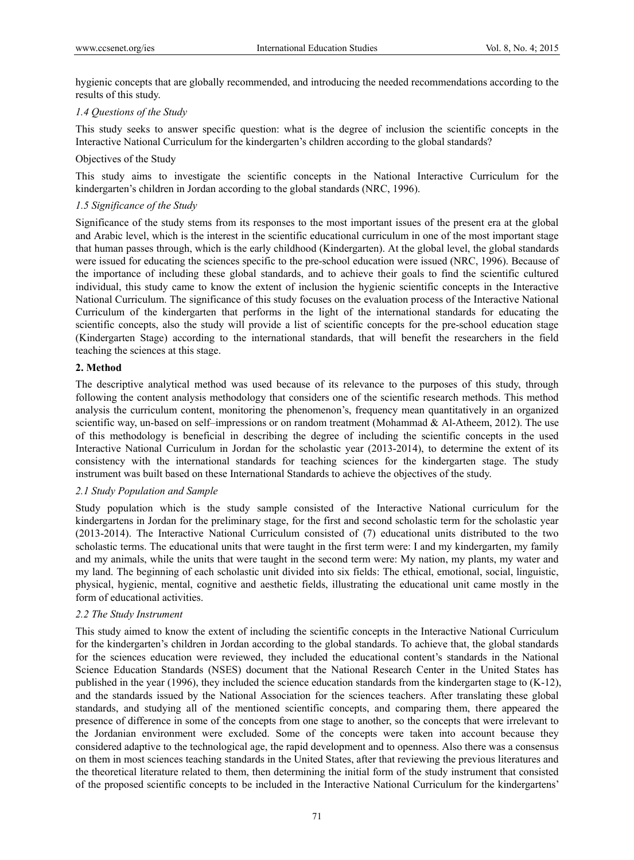hygienic concepts that are globally recommended, and introducing the needed recommendations according to the results of this study.

## *1.4 Questions of the Study*

This study seeks to answer specific question: what is the degree of inclusion the scientific concepts in the Interactive National Curriculum for the kindergarten's children according to the global standards?

## Objectives of the Study

This study aims to investigate the scientific concepts in the National Interactive Curriculum for the kindergarten's children in Jordan according to the global standards (NRC, 1996).

## *1.5 Significance of the Study*

Significance of the study stems from its responses to the most important issues of the present era at the global and Arabic level, which is the interest in the scientific educational curriculum in one of the most important stage that human passes through, which is the early childhood (Kindergarten). At the global level, the global standards were issued for educating the sciences specific to the pre-school education were issued (NRC, 1996). Because of the importance of including these global standards, and to achieve their goals to find the scientific cultured individual, this study came to know the extent of inclusion the hygienic scientific concepts in the Interactive National Curriculum. The significance of this study focuses on the evaluation process of the Interactive National Curriculum of the kindergarten that performs in the light of the international standards for educating the scientific concepts, also the study will provide a list of scientific concepts for the pre-school education stage (Kindergarten Stage) according to the international standards, that will benefit the researchers in the field teaching the sciences at this stage.

## **2. Method**

The descriptive analytical method was used because of its relevance to the purposes of this study, through following the content analysis methodology that considers one of the scientific research methods. This method analysis the curriculum content, monitoring the phenomenon's, frequency mean quantitatively in an organized scientific way, un-based on self–impressions or on random treatment (Mohammad & Al-Atheem, 2012). The use of this methodology is beneficial in describing the degree of including the scientific concepts in the used Interactive National Curriculum in Jordan for the scholastic year (2013-2014), to determine the extent of its consistency with the international standards for teaching sciences for the kindergarten stage. The study instrument was built based on these International Standards to achieve the objectives of the study.

# *2.1 Study Population and Sample*

Study population which is the study sample consisted of the Interactive National curriculum for the kindergartens in Jordan for the preliminary stage, for the first and second scholastic term for the scholastic year (2013-2014). The Interactive National Curriculum consisted of (7) educational units distributed to the two scholastic terms. The educational units that were taught in the first term were: I and my kindergarten, my family and my animals, while the units that were taught in the second term were: My nation, my plants, my water and my land. The beginning of each scholastic unit divided into six fields: The ethical, emotional, social, linguistic, physical, hygienic, mental, cognitive and aesthetic fields, illustrating the educational unit came mostly in the form of educational activities.

#### *2.2 The Study Instrument*

This study aimed to know the extent of including the scientific concepts in the Interactive National Curriculum for the kindergarten's children in Jordan according to the global standards. To achieve that, the global standards for the sciences education were reviewed, they included the educational content's standards in the National Science Education Standards (NSES) document that the National Research Center in the United States has published in the year (1996), they included the science education standards from the kindergarten stage to (K-12), and the standards issued by the National Association for the sciences teachers. After translating these global standards, and studying all of the mentioned scientific concepts, and comparing them, there appeared the presence of difference in some of the concepts from one stage to another, so the concepts that were irrelevant to the Jordanian environment were excluded. Some of the concepts were taken into account because they considered adaptive to the technological age, the rapid development and to openness. Also there was a consensus on them in most sciences teaching standards in the United States, after that reviewing the previous literatures and the theoretical literature related to them, then determining the initial form of the study instrument that consisted of the proposed scientific concepts to be included in the Interactive National Curriculum for the kindergartens'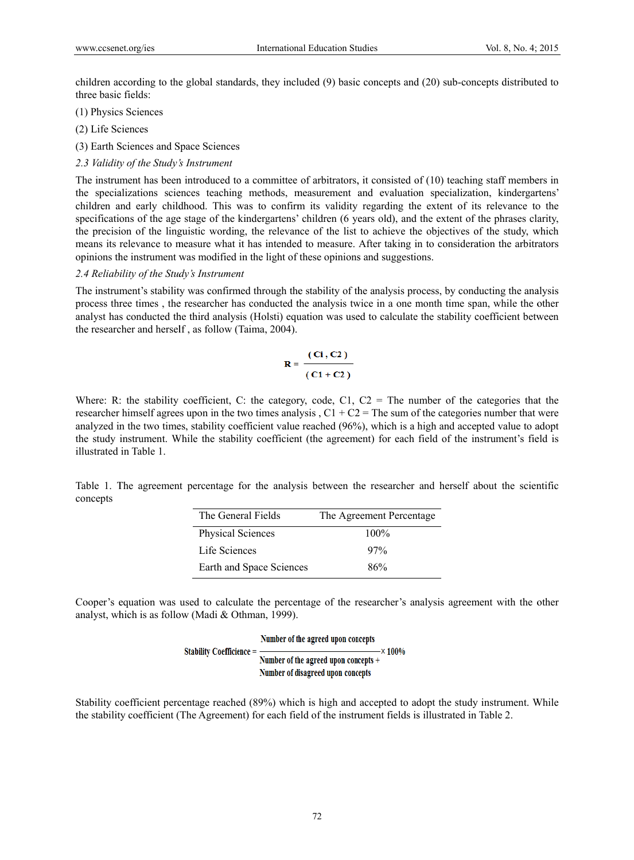children according to the global standards, they included (9) basic concepts and (20) sub-concepts distributed to three basic fields:

- (1) Physic s Sciences
- (2) Life Sc ciences
- (3) Earth S Sciences and S Space Sciences
- 2.3 Validity of the Study's Instrument

(3) Earth Sciences and Space Sciences<br>2.3 *Validity of the Study's Instrument*<br>The instrument has been introduced to a committee of arbitrators, it consisted of (10) teaching staff members in the specializations sciences teaching methods, measurement and evaluation specialization, kindergartens' children and early childhood. This was to confirm its validity regarding the extent of its relevance to the specifications of the age stage of the kindergartens' children (6 years old), and the extent of the phrases clarity, the precision of the linguistic wording, the relevance of the list to achieve the objectives of the study, which means its relevance to measure what it has intended to measure. After taking in to consideration the arbitrators opinions the instrument was modified in the light of these opinions and suggestions.

#### 2.4 Reliability of the Study's Instrument

The instrument's stability was confirmed through the stability of the analysis process, by conducting the analysis process three times, the researcher has conducted the analysis twice in a one month time span, while the other analyst has conducted the third analysis (Holsti) equation was used to calculate the stability coefficient between the researcher and herself, as follow (Taima, 2004).

$$
R = \frac{(Ci, C2)}{(C1 + C2)}
$$

Where: R: the stability coefficient, C: the category, code, C1, C2 = The number of the categories that the researcher himself agrees upon in the two times analysis,  $C1 + C2 =$ The sum of the categories number that were analyzed in the two times, stability coefficient value reached (96%), which is a high and accepted value to adopt the study instrument. While the stability coefficient (the agreement) for each field of the instrument's field is illustrated in Table 1.

Table 1. The agreement percentage for the analysis between the researcher and herself about the scientific concepts

| The General Fields       | The Agreement Percentage |
|--------------------------|--------------------------|
| <b>Physical Sciences</b> | $100\%$                  |
| Life Sciences            | $97\%$                   |
| Earth and Space Sciences | 86%                      |

Cooper's equation was used to calculate the percentage of the researcher's analysis agreement with the other analyst, which is as follow (Madi & Othman, 1999).

Stability Coefficiency = 
$$
\frac{\text{Number of the agreed upon concepts}}{\text{Number of the agreed upon concepts} + \text{Number of disappeared upon concepts}}
$$

Stability coefficient percentage reached (89%) which is high and accepted to adopt the study instrument. While the stability coefficient (The Agreement) for each field of the instrument fields is illustrated in Table 2.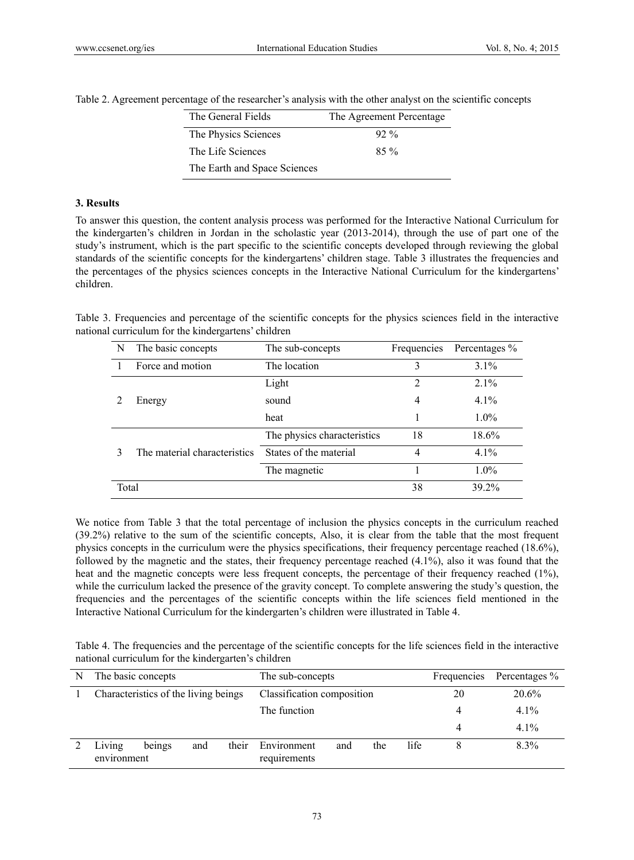| The General Fields           | The Agreement Percentage |
|------------------------------|--------------------------|
| The Physics Sciences         | $92\%$                   |
| The Life Sciences            | $85\%$                   |
| The Earth and Space Sciences |                          |

Table 2. Agreement percentage of the researcher's analysis with the other analyst on the scientific concepts

#### **3. Results**

To answer this question, the content analysis process was performed for the Interactive National Curriculum for the kindergarten's children in Jordan in the scholastic year (2013-2014), through the use of part one of the study's instrument, which is the part specific to the scientific concepts developed through reviewing the global standards of the scientific concepts for the kindergartens' children stage. Table 3 illustrates the frequencies and the percentages of the physics sciences concepts in the Interactive National Curriculum for the kindergartens' children.

Table 3. Frequencies and percentage of the scientific concepts for the physics sciences field in the interactive national curriculum for the kindergartens' children

| N     | The basic concepts           | The sub-concepts            | Frequencies    | Percentages % |
|-------|------------------------------|-----------------------------|----------------|---------------|
|       | Force and motion             | The location                | 3              | $3.1\%$       |
|       |                              | Light                       | $\overline{2}$ | 2.1%          |
|       | Energy                       | sound                       | 4              | 4.1%          |
|       |                              | heat                        |                | $1.0\%$       |
|       |                              | The physics characteristics | 18             | 18.6%         |
|       | The material characteristics | States of the material      | 4              | 4.1%          |
|       |                              | The magnetic                |                | $1.0\%$       |
| Total |                              |                             | 38             | 39.2%         |

We notice from Table 3 that the total percentage of inclusion the physics concepts in the curriculum reached (39.2%) relative to the sum of the scientific concepts, Also, it is clear from the table that the most frequent physics concepts in the curriculum were the physics specifications, their frequency percentage reached (18.6%), followed by the magnetic and the states, their frequency percentage reached (4.1%), also it was found that the heat and the magnetic concepts were less frequent concepts, the percentage of their frequency reached (1%), while the curriculum lacked the presence of the gravity concept. To complete answering the study's question, the frequencies and the percentages of the scientific concepts within the life sciences field mentioned in the Interactive National Curriculum for the kindergarten's children were illustrated in Table 4.

Table 4. The frequencies and the percentage of the scientific concepts for the life sciences field in the interactive national curriculum for the kindergarten's children

| The basic concepts                   |        |     | The sub-concepts           |                             | Frequencies | Percentages % |      |   |         |
|--------------------------------------|--------|-----|----------------------------|-----------------------------|-------------|---------------|------|---|---------|
| Characteristics of the living beings |        |     | Classification composition |                             | 20          | 20.6%         |      |   |         |
|                                      |        |     |                            | The function                |             |               |      | 4 | $4.1\%$ |
|                                      |        |     |                            |                             |             |               |      | 4 | 4.1%    |
| Living<br>environment                | beings | and | their                      | Environment<br>requirements | and         | the           | life |   | 8.3%    |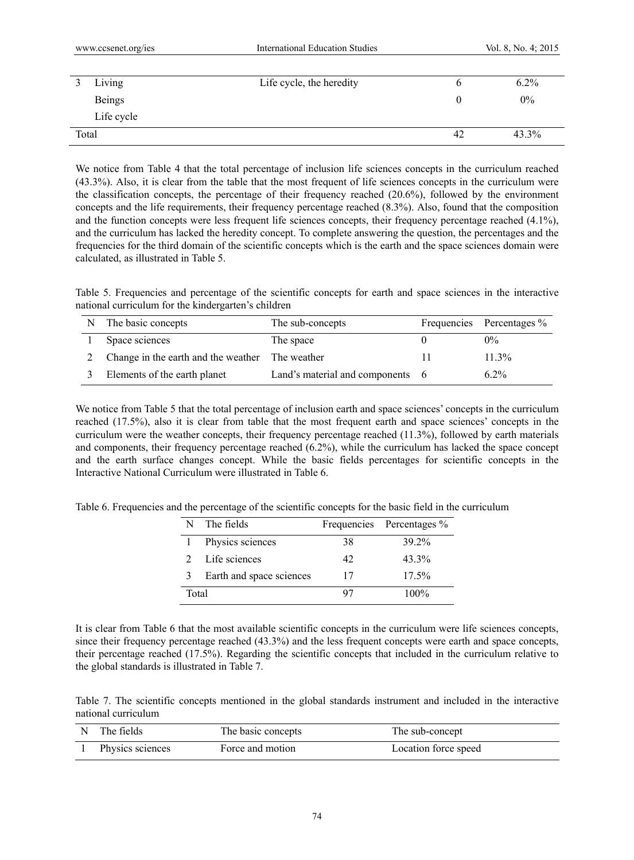| Living        | Life cycle, the heredity |    | $6.2\%$ |
|---------------|--------------------------|----|---------|
| <b>Beings</b> |                          |    | $0\%$   |
| Life cycle    |                          |    |         |
| Total         |                          | 42 | 43.3%   |

We notice from Table 4 that the total percentage of inclusion life sciences concepts in the curriculum reached (43.3%). Also, it is clear from the table that the most frequent of life sciences concepts in the curriculum were the classification concepts, the percentage of their frequency reached (20.6%), followed by the environment concepts and the life requirements, their frequency percentage reached (8.3%). Also, found that the composition and the function concepts were less frequent life sciences concepts, their frequency percentage reached (4.1%), and the curriculum has lacked the heredity concept. To complete answering the question, the percentages and the frequencies for the third domain of the scientific concepts which is the earth and the space sciences domain were calculated, as illustrated in Table 5.

Table 5. Frequencies and percentage of the scientific concepts for earth and space sciences in the interactive national curriculum for the kindergarten's children

| The basic concepts                              | The sub-concepts                 | Frequencies Percentages % |
|-------------------------------------------------|----------------------------------|---------------------------|
| Space sciences                                  | The space                        | $0\%$                     |
| Change in the earth and the weather The weather |                                  | $11.3\%$                  |
| Elements of the earth planet                    | Land's material and components 6 | $6.2\%$                   |

We notice from Table 5 that the total percentage of inclusion earth and space sciences' concepts in the curriculum reached (17.5%), also it is clear from table that the most frequent earth and space sciences' concepts in the curriculum were the weather concepts, their frequency percentage reached (11.3%), followed by earth materials and components, their frequency percentage reached (6.2%), while the curriculum has lacked the space concept and the earth surface changes concept. While the basic fields percentages for scientific concepts in the Interactive National Curriculum were illustrated in Table 6.

Table 6. Frequencies and the percentage of the scientific concepts for the basic field in the curriculum

| N     | The fields               |    | Frequencies Percentages % |
|-------|--------------------------|----|---------------------------|
|       | Physics sciences         | 38 | 39.2%                     |
|       | Life sciences            | 42 | 43.3%                     |
| 3     | Earth and space sciences | 17 | $17.5\%$                  |
| Total |                          |    | $100\%$                   |

It is clear from Table 6 that the most available scientific concepts in the curriculum were life sciences concepts, since their frequency percentage reached (43.3%) and the less frequent concepts were earth and space concepts, their percentage reached (17.5%). Regarding the scientific concepts that included in the curriculum relative to the global standards is illustrated in Table 7.

Table 7. The scientific concepts mentioned in the global standards instrument and included in the interactive national curriculum

| N | The fields       | The basic concepts | The sub-concept      |
|---|------------------|--------------------|----------------------|
|   | Physics sciences | Force and motion   | Location force speed |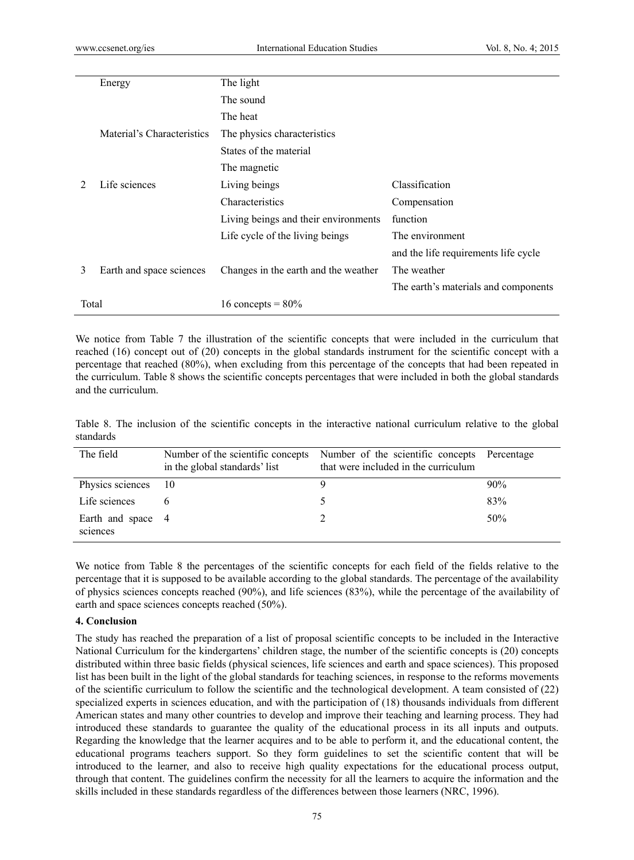|                | Energy                     | The light                            |                                      |
|----------------|----------------------------|--------------------------------------|--------------------------------------|
|                |                            | The sound                            |                                      |
|                |                            | The heat                             |                                      |
|                | Material's Characteristics | The physics characteristics          |                                      |
|                |                            | States of the material               |                                      |
|                |                            | The magnetic                         |                                      |
| $\mathfrak{D}$ | Life sciences              | Living beings                        | Classification                       |
|                |                            | <b>Characteristics</b>               | Compensation                         |
|                |                            | Living beings and their environments | function                             |
|                |                            | Life cycle of the living beings      | The environment                      |
|                |                            |                                      | and the life requirements life cycle |
| 3              | Earth and space sciences   | Changes in the earth and the weather | The weather                          |
|                |                            |                                      | The earth's materials and components |
| Total          |                            | 16 concepts = $80\%$                 |                                      |

We notice from Table 7 the illustration of the scientific concepts that were included in the curriculum that reached (16) concept out of (20) concepts in the global standards instrument for the scientific concept with a percentage that reached (80%), when excluding from this percentage of the concepts that had been repeated in the curriculum. Table 8 shows the scientific concepts percentages that were included in both the global standards and the curriculum.

Table 8. The inclusion of the scientific concepts in the interactive national curriculum relative to the global standards

| The field                     | in the global standards' list | Number of the scientific concepts Number of the scientific concepts Percentage<br>that were included in the curriculum |     |
|-------------------------------|-------------------------------|------------------------------------------------------------------------------------------------------------------------|-----|
| Physics sciences              | $\overline{10}$               |                                                                                                                        | 90% |
| Life sciences                 |                               |                                                                                                                        | 83% |
| Earth and space 4<br>sciences |                               |                                                                                                                        | 50% |

We notice from Table 8 the percentages of the scientific concepts for each field of the fields relative to the percentage that it is supposed to be available according to the global standards. The percentage of the availability of physics sciences concepts reached (90%), and life sciences (83%), while the percentage of the availability of earth and space sciences concepts reached (50%).

#### **4. Conclusion**

The study has reached the preparation of a list of proposal scientific concepts to be included in the Interactive National Curriculum for the kindergartens' children stage, the number of the scientific concepts is (20) concepts distributed within three basic fields (physical sciences, life sciences and earth and space sciences). This proposed list has been built in the light of the global standards for teaching sciences, in response to the reforms movements of the scientific curriculum to follow the scientific and the technological development. A team consisted of (22) specialized experts in sciences education, and with the participation of (18) thousands individuals from different American states and many other countries to develop and improve their teaching and learning process. They had introduced these standards to guarantee the quality of the educational process in its all inputs and outputs. Regarding the knowledge that the learner acquires and to be able to perform it, and the educational content, the educational programs teachers support. So they form guidelines to set the scientific content that will be introduced to the learner, and also to receive high quality expectations for the educational process output, through that content. The guidelines confirm the necessity for all the learners to acquire the information and the skills included in these standards regardless of the differences between those learners (NRC, 1996).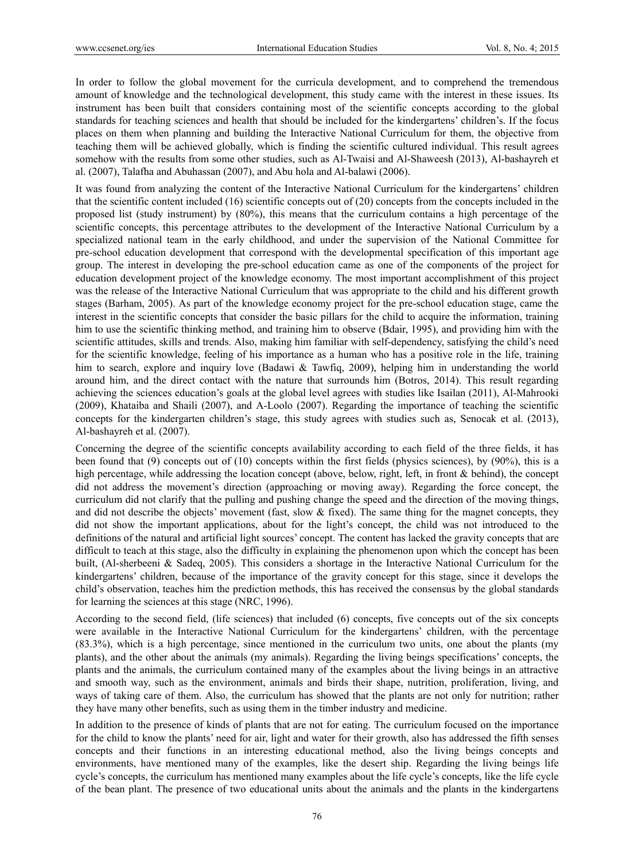In order to follow the global movement for the curricula development, and to comprehend the tremendous amount of knowledge and the technological development, this study came with the interest in these issues. Its instrument has been built that considers containing most of the scientific concepts according to the global standards for teaching sciences and health that should be included for the kindergartens' children's. If the focus places on them when planning and building the Interactive National Curriculum for them, the objective from teaching them will be achieved globally, which is finding the scientific cultured individual. This result agrees somehow with the results from some other studies, such as Al-Twaisi and Al-Shaweesh (2013), Al-bashayreh et al. (2007), Talafha and Abuhassan (2007), and Abu hola and Al-balawi (2006).

It was found from analyzing the content of the Interactive National Curriculum for the kindergartens' children that the scientific content included (16) scientific concepts out of (20) concepts from the concepts included in the proposed list (study instrument) by (80%), this means that the curriculum contains a high percentage of the scientific concepts, this percentage attributes to the development of the Interactive National Curriculum by a specialized national team in the early childhood, and under the supervision of the National Committee for pre-school education development that correspond with the developmental specification of this important age group. The interest in developing the pre-school education came as one of the components of the project for education development project of the knowledge economy. The most important accomplishment of this project was the release of the Interactive National Curriculum that was appropriate to the child and his different growth stages (Barham, 2005). As part of the knowledge economy project for the pre-school education stage, came the interest in the scientific concepts that consider the basic pillars for the child to acquire the information, training him to use the scientific thinking method, and training him to observe (Bdair, 1995), and providing him with the scientific attitudes, skills and trends. Also, making him familiar with self-dependency, satisfying the child's need for the scientific knowledge, feeling of his importance as a human who has a positive role in the life, training him to search, explore and inquiry love (Badawi & Tawfiq, 2009), helping him in understanding the world around him, and the direct contact with the nature that surrounds him (Botros, 2014). This result regarding achieving the sciences education's goals at the global level agrees with studies like Isailan (2011), Al-Mahrooki (2009), Khataiba and Shaili (2007), and A-Loolo (2007). Regarding the importance of teaching the scientific concepts for the kindergarten children's stage, this study agrees with studies such as, Senocak et al. (2013), Al-bashayreh et al. (2007).

Concerning the degree of the scientific concepts availability according to each field of the three fields, it has been found that (9) concepts out of (10) concepts within the first fields (physics sciences), by (90%), this is a high percentage, while addressing the location concept (above, below, right, left, in front & behind), the concept did not address the movement's direction (approaching or moving away). Regarding the force concept, the curriculum did not clarify that the pulling and pushing change the speed and the direction of the moving things, and did not describe the objects' movement (fast, slow & fixed). The same thing for the magnet concepts, they did not show the important applications, about for the light's concept, the child was not introduced to the definitions of the natural and artificial light sources' concept. The content has lacked the gravity concepts that are difficult to teach at this stage, also the difficulty in explaining the phenomenon upon which the concept has been built, (Al-sherbeeni & Sadeq, 2005). This considers a shortage in the Interactive National Curriculum for the kindergartens' children, because of the importance of the gravity concept for this stage, since it develops the child's observation, teaches him the prediction methods, this has received the consensus by the global standards for learning the sciences at this stage (NRC, 1996).

According to the second field, (life sciences) that included (6) concepts, five concepts out of the six concepts were available in the Interactive National Curriculum for the kindergartens' children, with the percentage (83.3%), which is a high percentage, since mentioned in the curriculum two units, one about the plants (my plants), and the other about the animals (my animals). Regarding the living beings specifications' concepts, the plants and the animals, the curriculum contained many of the examples about the living beings in an attractive and smooth way, such as the environment, animals and birds their shape, nutrition, proliferation, living, and ways of taking care of them. Also, the curriculum has showed that the plants are not only for nutrition; rather they have many other benefits, such as using them in the timber industry and medicine.

In addition to the presence of kinds of plants that are not for eating. The curriculum focused on the importance for the child to know the plants' need for air, light and water for their growth, also has addressed the fifth senses concepts and their functions in an interesting educational method, also the living beings concepts and environments, have mentioned many of the examples, like the desert ship. Regarding the living beings life cycle's concepts, the curriculum has mentioned many examples about the life cycle's concepts, like the life cycle of the bean plant. The presence of two educational units about the animals and the plants in the kindergartens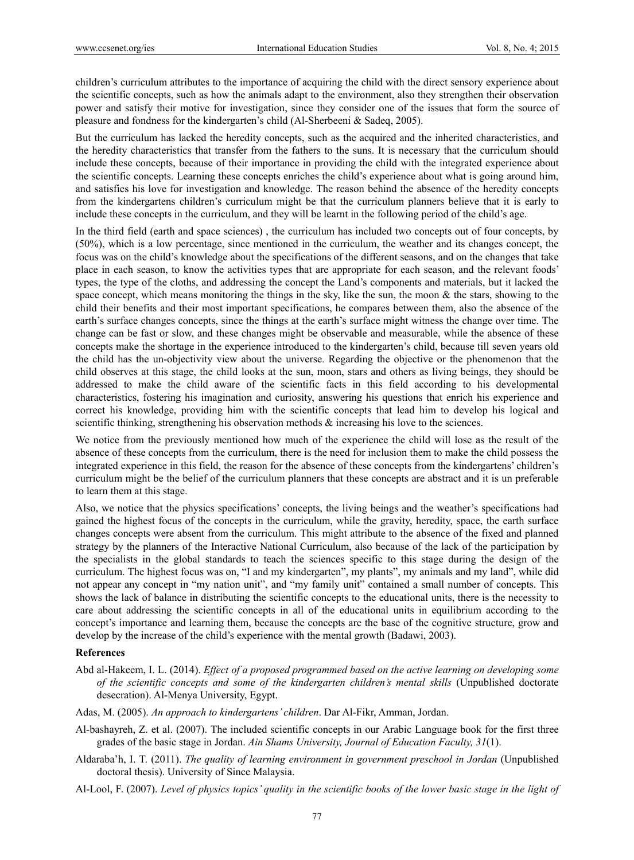children's curriculum attributes to the importance of acquiring the child with the direct sensory experience about the scientific concepts, such as how the animals adapt to the environment, also they strengthen their observation power and satisfy their motive for investigation, since they consider one of the issues that form the source of pleasure and fondness for the kindergarten's child (Al-Sherbeeni & Sadeq, 2005).

But the curriculum has lacked the heredity concepts, such as the acquired and the inherited characteristics, and the heredity characteristics that transfer from the fathers to the suns. It is necessary that the curriculum should include these concepts, because of their importance in providing the child with the integrated experience about the scientific concepts. Learning these concepts enriches the child's experience about what is going around him, and satisfies his love for investigation and knowledge. The reason behind the absence of the heredity concepts from the kindergartens children's curriculum might be that the curriculum planners believe that it is early to include these concepts in the curriculum, and they will be learnt in the following period of the child's age.

In the third field (earth and space sciences) , the curriculum has included two concepts out of four concepts, by (50%), which is a low percentage, since mentioned in the curriculum, the weather and its changes concept, the focus was on the child's knowledge about the specifications of the different seasons, and on the changes that take place in each season, to know the activities types that are appropriate for each season, and the relevant foods' types, the type of the cloths, and addressing the concept the Land's components and materials, but it lacked the space concept, which means monitoring the things in the sky, like the sun, the moon  $\&$  the stars, showing to the child their benefits and their most important specifications, he compares between them, also the absence of the earth's surface changes concepts, since the things at the earth's surface might witness the change over time. The change can be fast or slow, and these changes might be observable and measurable, while the absence of these concepts make the shortage in the experience introduced to the kindergarten's child, because till seven years old the child has the un-objectivity view about the universe. Regarding the objective or the phenomenon that the child observes at this stage, the child looks at the sun, moon, stars and others as living beings, they should be addressed to make the child aware of the scientific facts in this field according to his developmental characteristics, fostering his imagination and curiosity, answering his questions that enrich his experience and correct his knowledge, providing him with the scientific concepts that lead him to develop his logical and scientific thinking, strengthening his observation methods  $\&$  increasing his love to the sciences.

We notice from the previously mentioned how much of the experience the child will lose as the result of the absence of these concepts from the curriculum, there is the need for inclusion them to make the child possess the integrated experience in this field, the reason for the absence of these concepts from the kindergartens' children's curriculum might be the belief of the curriculum planners that these concepts are abstract and it is un preferable to learn them at this stage.

Also, we notice that the physics specifications' concepts, the living beings and the weather's specifications had gained the highest focus of the concepts in the curriculum, while the gravity, heredity, space, the earth surface changes concepts were absent from the curriculum. This might attribute to the absence of the fixed and planned strategy by the planners of the Interactive National Curriculum, also because of the lack of the participation by the specialists in the global standards to teach the sciences specific to this stage during the design of the curriculum. The highest focus was on, "I and my kindergarten", my plants", my animals and my land", while did not appear any concept in "my nation unit", and "my family unit" contained a small number of concepts. This shows the lack of balance in distributing the scientific concepts to the educational units, there is the necessity to care about addressing the scientific concepts in all of the educational units in equilibrium according to the concept's importance and learning them, because the concepts are the base of the cognitive structure, grow and develop by the increase of the child's experience with the mental growth (Badawi, 2003).

#### **References**

- Abd al-Hakeem, I. L. (2014). *Effect of a proposed programmed based on the active learning on developing some of the scientific concepts and some of the kindergarten children's mental skills* (Unpublished doctorate desecration). Al-Menya University, Egypt.
- Adas, M. (2005). *An approach to kindergartens' children*. Dar Al-Fikr, Amman, Jordan.
- Al-bashayreh, Z. et al. (2007). The included scientific concepts in our Arabic Language book for the first three grades of the basic stage in Jordan. *Ain Shams University, Journal of Education Faculty, 31*(1).
- Aldaraba'h, I. T. (2011). *The quality of learning environment in government preschool in Jordan* (Unpublished doctoral thesis). University of Since Malaysia.
- Al-Lool, F. (2007). *Level of physics topics' quality in the scientific books of the lower basic stage in the light of*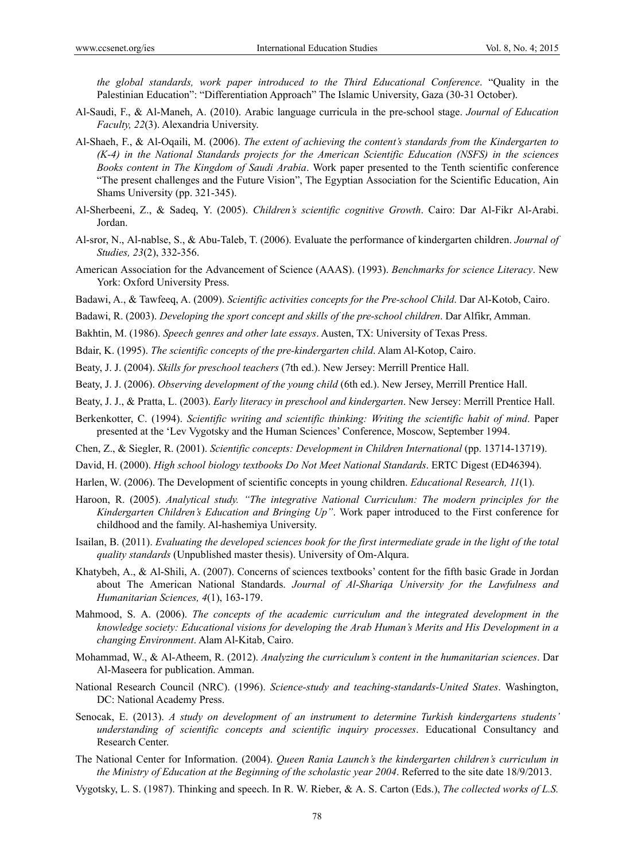*the global standards, work paper introduced to the Third Educational Conference*. "Quality in the Palestinian Education": "Differentiation Approach" The Islamic University, Gaza (30-31 October).

- Al-Saudi, F., & Al-Maneh, A. (2010). Arabic language curricula in the pre-school stage. *Journal of Education Faculty, 22*(3). Alexandria University.
- Al-Shaeh, F., & Al-Oqaili, M. (2006). *The extent of achieving the content's standards from the Kindergarten to (K-4) in the National Standards projects for the American Scientific Education (NSFS) in the sciences Books content in The Kingdom of Saudi Arabia*. Work paper presented to the Tenth scientific conference "The present challenges and the Future Vision", The Egyptian Association for the Scientific Education, Ain Shams University (pp. 321-345).
- Al-Sherbeeni, Z., & Sadeq, Y. (2005). *Children's scientific cognitive Growth*. Cairo: Dar Al-Fikr Al-Arabi. Jordan.
- Al-sror, N., Al-nablse, S., & Abu-Taleb, T. (2006). Evaluate the performance of kindergarten children. *Journal of Studies, 23*(2), 332-356.
- American Association for the Advancement of Science (AAAS). (1993). *Benchmarks for science Literacy*. New York: Oxford University Press.
- Badawi, A., & Tawfeeq, A. (2009). *Scientific activities concepts for the Pre-school Child*. Dar Al-Kotob, Cairo.
- Badawi, R. (2003). *Developing the sport concept and skills of the pre-school children*. Dar Alfikr, Amman.
- Bakhtin, M. (1986). *Speech genres and other late essays*. Austen, TX: University of Texas Press.
- Bdair, K. (1995). *The scientific concepts of the pre-kindergarten child*. Alam Al-Kotop, Cairo.

Beaty, J. J. (2004). *Skills for preschool teachers* (7th ed.). New Jersey: Merrill Prentice Hall.

Beaty, J. J. (2006). *Observing development of the young child* (6th ed.). New Jersey, Merrill Prentice Hall.

- Beaty, J. J., & Pratta, L. (2003). *Early literacy in preschool and kindergarten*. New Jersey: Merrill Prentice Hall.
- Berkenkotter, C. (1994). *Scientific writing and scientific thinking: Writing the scientific habit of mind*. Paper presented at the 'Lev Vygotsky and the Human Sciences' Conference, Moscow, September 1994.
- Chen, Z., & Siegler, R. (2001). *Scientific concepts: Development in Children International* (pp. 13714-13719).
- David, H. (2000). *High school biology textbooks Do Not Meet National Standards*. ERTC Digest (ED46394).
- Harlen, W. (2006). The Development of scientific concepts in young children. *Educational Research, 11*(1).
- Haroon, R. (2005). *Analytical study. "The integrative National Curriculum: The modern principles for the Kindergarten Children's Education and Bringing Up"*. Work paper introduced to the First conference for childhood and the family. Al-hashemiya University.
- Isailan, B. (2011). *Evaluating the developed sciences book for the first intermediate grade in the light of the total quality standards* (Unpublished master thesis). University of Om-Alqura.
- Khatybeh, A., & Al-Shili, A. (2007). Concerns of sciences textbooks' content for the fifth basic Grade in Jordan about The American National Standards. *Journal of Al-Shariqa University for the Lawfulness and Humanitarian Sciences, 4*(1), 163-179.
- Mahmood, S. A. (2006). *The concepts of the academic curriculum and the integrated development in the knowledge society: Educational visions for developing the Arab Human's Merits and His Development in a changing Environment*. Alam Al-Kitab, Cairo.
- Mohammad, W., & Al-Atheem, R. (2012). *Analyzing the curriculum's content in the humanitarian sciences*. Dar Al-Maseera for publication. Amman.
- National Research Council (NRC). (1996). *Science-study and teaching-standards-United States*. Washington, DC: National Academy Press.
- Senocak, E. (2013). *A study on development of an instrument to determine Turkish kindergartens students' understanding of scientific concepts and scientific inquiry processes*. Educational Consultancy and Research Center.
- The National Center for Information. (2004). *Queen Rania Launch's the kindergarten children's curriculum in the Ministry of Education at the Beginning of the scholastic year 2004*. Referred to the site date 18/9/2013.
- Vygotsky, L. S. (1987). Thinking and speech. In R. W. Rieber, & A. S. Carton (Eds.), *The collected works of L.S.*